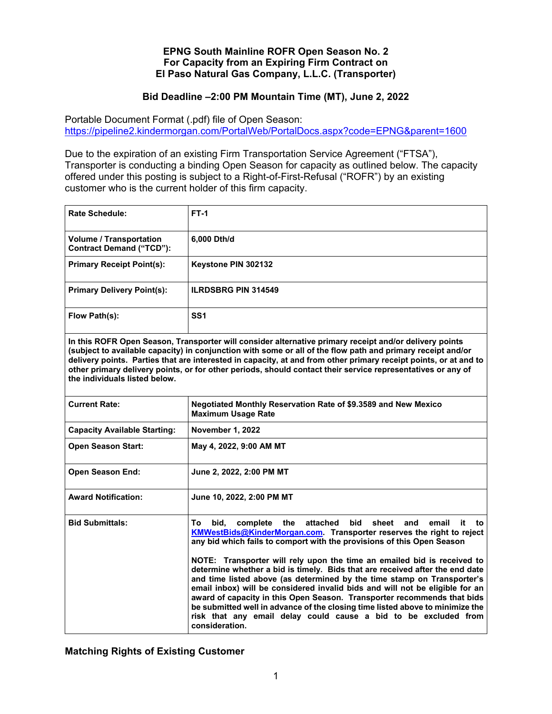## **EPNG South Mainline ROFR Open Season No. 2 For Capacity from an Expiring Firm Contract on El Paso Natural Gas Company, L.L.C. (Transporter)**

## **Bid Deadline –2:00 PM Mountain Time (MT), June 2, 2022**

Portable Document Format (.pdf) file of Open Season: https://pipeline2.kindermorgan.com/PortalWeb/PortalDocs.aspx?code=EPNG&parent=1600

Due to the expiration of an existing Firm Transportation Service Agreement ("FTSA"), Transporter is conducting a binding Open Season for capacity as outlined below. The capacity offered under this posting is subject to a Right-of-First-Refusal ("ROFR") by an existing customer who is the current holder of this firm capacity.

| <b>Rate Schedule:</b>                                             | $FT-1$                                                                                                                                                                                                                                                                                                                                                                                                                                                                                                                                                                                                                                                                                                                                                                                                          |
|-------------------------------------------------------------------|-----------------------------------------------------------------------------------------------------------------------------------------------------------------------------------------------------------------------------------------------------------------------------------------------------------------------------------------------------------------------------------------------------------------------------------------------------------------------------------------------------------------------------------------------------------------------------------------------------------------------------------------------------------------------------------------------------------------------------------------------------------------------------------------------------------------|
| <b>Volume / Transportation</b><br><b>Contract Demand ("TCD"):</b> | 6,000 Dth/d                                                                                                                                                                                                                                                                                                                                                                                                                                                                                                                                                                                                                                                                                                                                                                                                     |
| <b>Primary Receipt Point(s):</b>                                  | Keystone PIN 302132                                                                                                                                                                                                                                                                                                                                                                                                                                                                                                                                                                                                                                                                                                                                                                                             |
| <b>Primary Delivery Point(s):</b>                                 | <b>ILRDSBRG PIN 314549</b>                                                                                                                                                                                                                                                                                                                                                                                                                                                                                                                                                                                                                                                                                                                                                                                      |
| Flow Path(s):                                                     | SS <sub>1</sub>                                                                                                                                                                                                                                                                                                                                                                                                                                                                                                                                                                                                                                                                                                                                                                                                 |
| the individuals listed below.                                     | In this ROFR Open Season, Transporter will consider alternative primary receipt and/or delivery points<br>(subject to available capacity) in conjunction with some or all of the flow path and primary receipt and/or<br>delivery points. Parties that are interested in capacity, at and from other primary receipt points, or at and to<br>other primary delivery points, or for other periods, should contact their service representatives or any of                                                                                                                                                                                                                                                                                                                                                        |
| <b>Current Rate:</b>                                              | Negotiated Monthly Reservation Rate of \$9.3589 and New Mexico<br><b>Maximum Usage Rate</b>                                                                                                                                                                                                                                                                                                                                                                                                                                                                                                                                                                                                                                                                                                                     |
| <b>Capacity Available Starting:</b>                               | November 1, 2022                                                                                                                                                                                                                                                                                                                                                                                                                                                                                                                                                                                                                                                                                                                                                                                                |
| <b>Open Season Start:</b>                                         | May 4, 2022, 9:00 AM MT                                                                                                                                                                                                                                                                                                                                                                                                                                                                                                                                                                                                                                                                                                                                                                                         |
| <b>Open Season End:</b>                                           | June 2, 2022, 2:00 PM MT                                                                                                                                                                                                                                                                                                                                                                                                                                                                                                                                                                                                                                                                                                                                                                                        |
| <b>Award Notification:</b>                                        | June 10, 2022, 2:00 PM MT                                                                                                                                                                                                                                                                                                                                                                                                                                                                                                                                                                                                                                                                                                                                                                                       |
| <b>Bid Submittals:</b>                                            | the<br>attached<br>bid<br>sheet<br>and<br>email<br>To<br>bid.<br>complete<br>it<br>to<br>KMWestBids@KinderMorgan.com. Transporter reserves the right to reject<br>any bid which fails to comport with the provisions of this Open Season<br>NOTE: Transporter will rely upon the time an emailed bid is received to<br>determine whether a bid is timely. Bids that are received after the end date<br>and time listed above (as determined by the time stamp on Transporter's<br>email inbox) will be considered invalid bids and will not be eligible for an<br>award of capacity in this Open Season. Transporter recommends that bids<br>be submitted well in advance of the closing time listed above to minimize the<br>risk that any email delay could cause a bid to be excluded from<br>consideration. |

**Matching Rights of Existing Customer**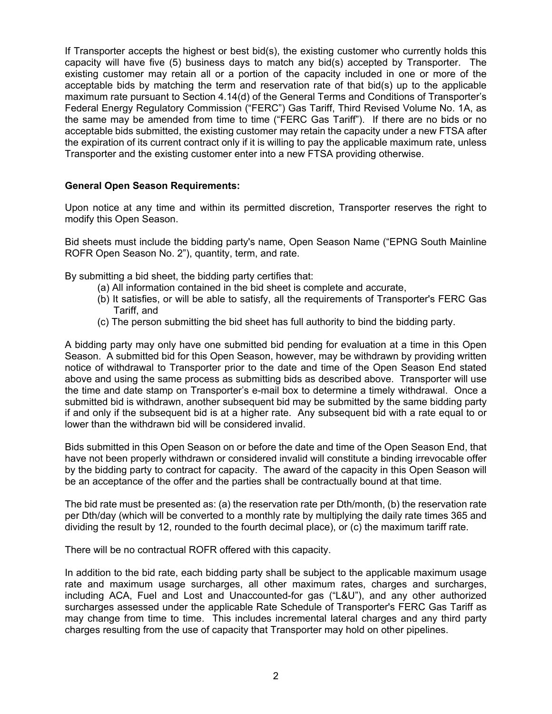If Transporter accepts the highest or best bid(s), the existing customer who currently holds this capacity will have five (5) business days to match any bid(s) accepted by Transporter. The existing customer may retain all or a portion of the capacity included in one or more of the acceptable bids by matching the term and reservation rate of that bid(s) up to the applicable maximum rate pursuant to Section 4.14(d) of the General Terms and Conditions of Transporter's Federal Energy Regulatory Commission ("FERC") Gas Tariff, Third Revised Volume No. 1A, as the same may be amended from time to time ("FERC Gas Tariff"). If there are no bids or no acceptable bids submitted, the existing customer may retain the capacity under a new FTSA after the expiration of its current contract only if it is willing to pay the applicable maximum rate, unless Transporter and the existing customer enter into a new FTSA providing otherwise.

## **General Open Season Requirements:**

Upon notice at any time and within its permitted discretion, Transporter reserves the right to modify this Open Season.

Bid sheets must include the bidding party's name, Open Season Name ("EPNG South Mainline ROFR Open Season No. 2"), quantity, term, and rate.

By submitting a bid sheet, the bidding party certifies that:

- (a) All information contained in the bid sheet is complete and accurate,
- (b) It satisfies, or will be able to satisfy, all the requirements of Transporter's FERC Gas Tariff, and
- (c) The person submitting the bid sheet has full authority to bind the bidding party.

A bidding party may only have one submitted bid pending for evaluation at a time in this Open Season. A submitted bid for this Open Season, however, may be withdrawn by providing written notice of withdrawal to Transporter prior to the date and time of the Open Season End stated above and using the same process as submitting bids as described above. Transporter will use the time and date stamp on Transporter's e-mail box to determine a timely withdrawal. Once a submitted bid is withdrawn, another subsequent bid may be submitted by the same bidding party if and only if the subsequent bid is at a higher rate. Any subsequent bid with a rate equal to or lower than the withdrawn bid will be considered invalid.

Bids submitted in this Open Season on or before the date and time of the Open Season End, that have not been properly withdrawn or considered invalid will constitute a binding irrevocable offer by the bidding party to contract for capacity. The award of the capacity in this Open Season will be an acceptance of the offer and the parties shall be contractually bound at that time.

The bid rate must be presented as: (a) the reservation rate per Dth/month, (b) the reservation rate per Dth/day (which will be converted to a monthly rate by multiplying the daily rate times 365 and dividing the result by 12, rounded to the fourth decimal place), or (c) the maximum tariff rate.

There will be no contractual ROFR offered with this capacity.

In addition to the bid rate, each bidding party shall be subject to the applicable maximum usage rate and maximum usage surcharges, all other maximum rates, charges and surcharges, including ACA, Fuel and Lost and Unaccounted-for gas ("L&U"), and any other authorized surcharges assessed under the applicable Rate Schedule of Transporter's FERC Gas Tariff as may change from time to time. This includes incremental lateral charges and any third party charges resulting from the use of capacity that Transporter may hold on other pipelines.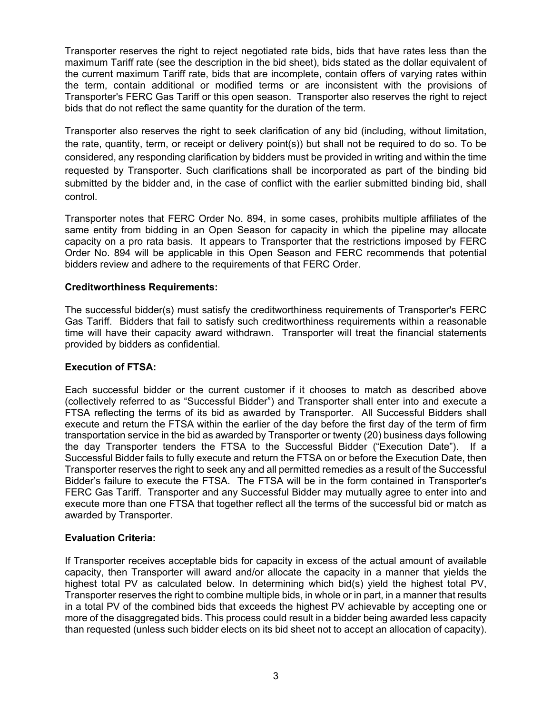Transporter reserves the right to reject negotiated rate bids, bids that have rates less than the maximum Tariff rate (see the description in the bid sheet), bids stated as the dollar equivalent of the current maximum Tariff rate, bids that are incomplete, contain offers of varying rates within the term, contain additional or modified terms or are inconsistent with the provisions of Transporter's FERC Gas Tariff or this open season. Transporter also reserves the right to reject bids that do not reflect the same quantity for the duration of the term.

Transporter also reserves the right to seek clarification of any bid (including, without limitation, the rate, quantity, term, or receipt or delivery point(s)) but shall not be required to do so. To be considered, any responding clarification by bidders must be provided in writing and within the time requested by Transporter. Such clarifications shall be incorporated as part of the binding bid submitted by the bidder and, in the case of conflict with the earlier submitted binding bid, shall control.

Transporter notes that FERC Order No. 894, in some cases, prohibits multiple affiliates of the same entity from bidding in an Open Season for capacity in which the pipeline may allocate capacity on a pro rata basis. It appears to Transporter that the restrictions imposed by FERC Order No. 894 will be applicable in this Open Season and FERC recommends that potential bidders review and adhere to the requirements of that FERC Order.

## **Creditworthiness Requirements:**

The successful bidder(s) must satisfy the creditworthiness requirements of Transporter's FERC Gas Tariff. Bidders that fail to satisfy such creditworthiness requirements within a reasonable time will have their capacity award withdrawn. Transporter will treat the financial statements provided by bidders as confidential.

## **Execution of FTSA:**

Each successful bidder or the current customer if it chooses to match as described above (collectively referred to as "Successful Bidder") and Transporter shall enter into and execute a FTSA reflecting the terms of its bid as awarded by Transporter. All Successful Bidders shall execute and return the FTSA within the earlier of the day before the first day of the term of firm transportation service in the bid as awarded by Transporter or twenty (20) business days following the day Transporter tenders the FTSA to the Successful Bidder ("Execution Date"). If a Successful Bidder fails to fully execute and return the FTSA on or before the Execution Date, then Transporter reserves the right to seek any and all permitted remedies as a result of the Successful Bidder's failure to execute the FTSA. The FTSA will be in the form contained in Transporter's FERC Gas Tariff. Transporter and any Successful Bidder may mutually agree to enter into and execute more than one FTSA that together reflect all the terms of the successful bid or match as awarded by Transporter.

#### **Evaluation Criteria:**

If Transporter receives acceptable bids for capacity in excess of the actual amount of available capacity, then Transporter will award and/or allocate the capacity in a manner that yields the highest total PV as calculated below. In determining which bid(s) yield the highest total PV, Transporter reserves the right to combine multiple bids, in whole or in part, in a manner that results in a total PV of the combined bids that exceeds the highest PV achievable by accepting one or more of the disaggregated bids. This process could result in a bidder being awarded less capacity than requested (unless such bidder elects on its bid sheet not to accept an allocation of capacity).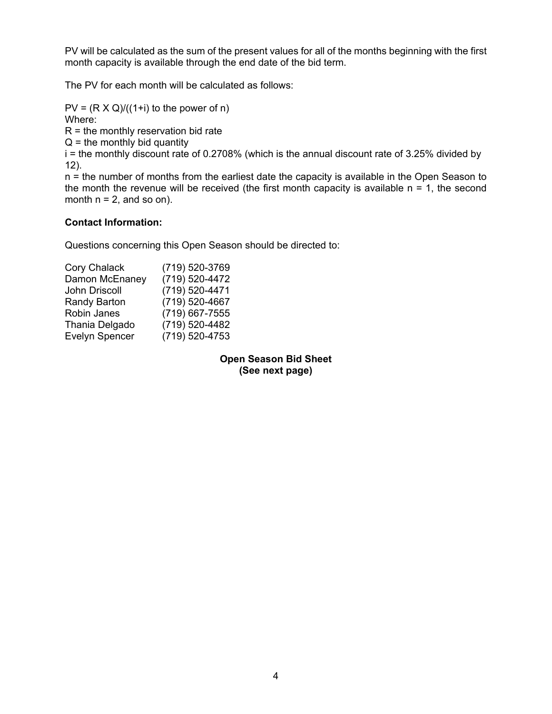PV will be calculated as the sum of the present values for all of the months beginning with the first month capacity is available through the end date of the bid term.

The PV for each month will be calculated as follows:

 $PV = (R \times Q)/((1+i)$  to the power of n) Where:

 $R =$  the monthly reservation bid rate

 $Q =$  the monthly bid quantity

 $i$  = the monthly discount rate of 0.2708% (which is the annual discount rate of 3.25% divided by 12).

n = the number of months from the earliest date the capacity is available in the Open Season to the month the revenue will be received (the first month capacity is available  $n = 1$ , the second month  $n = 2$ , and so on).

# **Contact Information:**

Questions concerning this Open Season should be directed to:

| <b>Cory Chalack</b>   | (719) 520-3769 |
|-----------------------|----------------|
| Damon McEnaney        | (719) 520-4472 |
| John Driscoll         | (719) 520-4471 |
| <b>Randy Barton</b>   | (719) 520-4667 |
| Robin Janes           | (719) 667-7555 |
| Thania Delgado        | (719) 520-4482 |
| <b>Evelyn Spencer</b> | (719) 520-4753 |

**Open Season Bid Sheet (See next page)**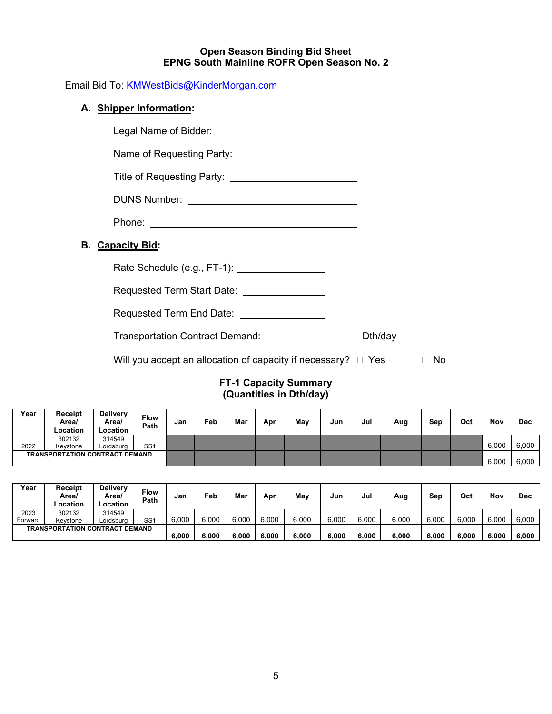#### **Open Season Binding Bid Sheet EPNG South Mainline ROFR Open Season No. 2**

Email Bid To: KMWestBids@KinderMorgan.com

# **A. Shipper Information:**

**B. Capacity Bid:** 

| Legal Name of Bidder: _____________________________                |    |
|--------------------------------------------------------------------|----|
| Name of Requesting Party: ___________________________              |    |
|                                                                    |    |
|                                                                    |    |
|                                                                    |    |
| <b>Capacity Bid:</b>                                               |    |
|                                                                    |    |
| Requested Term Start Date: \[\start Lequested Term Start Date: \]  |    |
| Requested Term End Date: __________________                        |    |
| Transportation Contract Demand: _______________________ Dth/day    |    |
| Will you accept an allocation of capacity if necessary? $\Box$ Yes | Nο |

## **FT-1 Capacity Summary (Quantities in Dth/day)**

| Year                                  | Receipt<br>Area/<br>Location | <b>Delivery</b><br>Area/<br>Location | Flow<br>Path    | Jan | Feb | Mar | Apr | May | Jun | Jul | Aug | Sep | Oct   | Nov   | <b>Dec</b> |
|---------------------------------------|------------------------------|--------------------------------------|-----------------|-----|-----|-----|-----|-----|-----|-----|-----|-----|-------|-------|------------|
|                                       | 302132                       | 314549                               |                 |     |     |     |     |     |     |     |     |     |       |       |            |
| 2022                                  | Kevstone                     | Lordsburg                            | SS <sub>1</sub> |     |     |     |     |     |     |     |     |     |       | 6,000 | 6,000      |
| <b>TRANSPORTATION CONTRACT DEMAND</b> |                              |                                      |                 |     |     |     |     |     |     |     |     |     | 6,000 | 6,000 |            |

| Year                                  | Receipt<br>Area/<br>Location | <b>Delivery</b><br>Area/<br>Location | <b>Flow</b><br>Path | Jan   | Feb   | Mar   | Apr   | May   | Jun   | Jul   | Aug   | Sep   | Oct   | Nov   | <b>Dec</b> |
|---------------------------------------|------------------------------|--------------------------------------|---------------------|-------|-------|-------|-------|-------|-------|-------|-------|-------|-------|-------|------------|
| 2023                                  | 302132                       | 314549                               |                     |       |       |       |       |       |       |       |       |       |       |       |            |
| Forward                               | Kevstone                     | _ordsbura                            | SS <sub>1</sub>     | 6.000 | 6,000 | 6,000 | 6,000 | 6,000 | 6,000 | 6,000 | 6,000 | 6,000 | 6.000 | 6,000 | 6,000      |
| <b>TRANSPORTATION CONTRACT DEMAND</b> |                              |                                      |                     |       |       |       |       |       |       |       |       |       |       |       |            |
|                                       |                              |                                      | 6,000               | 6,000 | 6,000 | 6,000 | 6,000 | 6,000 | 6,000 | 6,000 | 6,000 | 6,000 | 6,000 | 6,000 |            |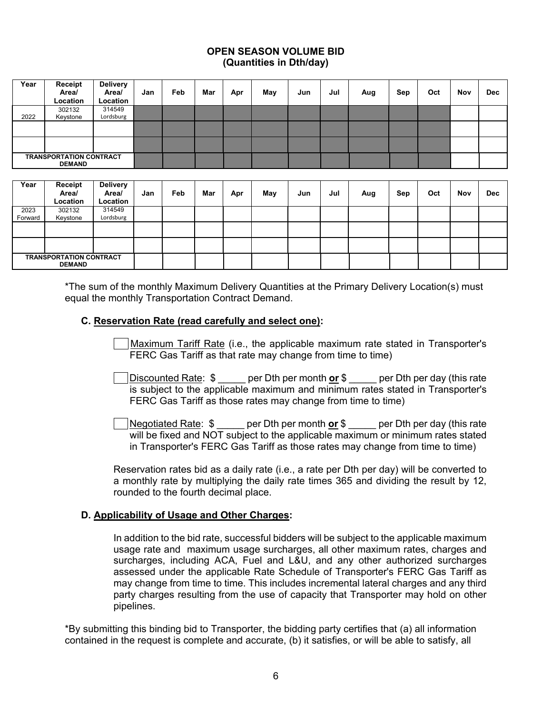### **OPEN SEASON VOLUME BID (Quantities in Dth/day)**

| Year                                            | Receipt<br>Area/<br>Location | <b>Delivery</b><br>Area/<br>Location | Jan | Feb | Mar | Apr | May | Jun | Jul | Aug | Sep | Oct | <b>Nov</b> | <b>Dec</b> |
|-------------------------------------------------|------------------------------|--------------------------------------|-----|-----|-----|-----|-----|-----|-----|-----|-----|-----|------------|------------|
| 2022                                            | 302132<br>Keystone           | 314549<br>Lordsburg                  |     |     |     |     |     |     |     |     |     |     |            |            |
|                                                 |                              |                                      |     |     |     |     |     |     |     |     |     |     |            |            |
|                                                 |                              |                                      |     |     |     |     |     |     |     |     |     |     |            |            |
| <b>TRANSPORTATION CONTRACT</b><br><b>DEMAND</b> |                              |                                      |     |     |     |     |     |     |     |     |     |     |            |            |

| Year                                            | Receipt<br>Area/<br>Location | <b>Delivery</b><br>Area/<br>Location | Jan | Feb | Mar | Apr | May | Jun | Jul | Aug | Sep | Oct | Nov | <b>Dec</b> |
|-------------------------------------------------|------------------------------|--------------------------------------|-----|-----|-----|-----|-----|-----|-----|-----|-----|-----|-----|------------|
| 2023                                            | 302132                       | 314549                               |     |     |     |     |     |     |     |     |     |     |     |            |
| Forward                                         | Keystone                     | Lordsburg                            |     |     |     |     |     |     |     |     |     |     |     |            |
|                                                 |                              |                                      |     |     |     |     |     |     |     |     |     |     |     |            |
|                                                 |                              |                                      |     |     |     |     |     |     |     |     |     |     |     |            |
| <b>TRANSPORTATION CONTRACT</b><br><b>DEMAND</b> |                              |                                      |     |     |     |     |     |     |     |     |     |     |     |            |

\*The sum of the monthly Maximum Delivery Quantities at the Primary Delivery Location(s) must equal the monthly Transportation Contract Demand.

### **C. Reservation Rate (read carefully and select one):**

 Maximum Tariff Rate (i.e., the applicable maximum rate stated in Transporter's FERC Gas Tariff as that rate may change from time to time)

- Discounted Rate: \$ per Dth per month **or** \$ per Dth per day (this rate is subject to the applicable maximum and minimum rates stated in Transporter's FERC Gas Tariff as those rates may change from time to time)
- Negotiated Rate: \$ \_\_\_\_\_ per Dth per month **or** \$ \_\_\_\_\_ per Dth per day (this rate will be fixed and NOT subject to the applicable maximum or minimum rates stated in Transporter's FERC Gas Tariff as those rates may change from time to time)

Reservation rates bid as a daily rate (i.e., a rate per Dth per day) will be converted to a monthly rate by multiplying the daily rate times 365 and dividing the result by 12, rounded to the fourth decimal place.

## **D. Applicability of Usage and Other Charges:**

In addition to the bid rate, successful bidders will be subject to the applicable maximum usage rate and maximum usage surcharges, all other maximum rates, charges and surcharges, including ACA, Fuel and L&U, and any other authorized surcharges assessed under the applicable Rate Schedule of Transporter's FERC Gas Tariff as may change from time to time. This includes incremental lateral charges and any third party charges resulting from the use of capacity that Transporter may hold on other pipelines.

\*By submitting this binding bid to Transporter, the bidding party certifies that (a) all information contained in the request is complete and accurate, (b) it satisfies, or will be able to satisfy, all